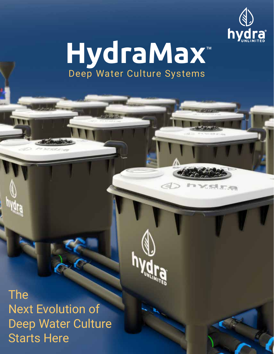

Selation

# **HydraMax**™ Deep Water Culture Systems

The Next Evolution of Deep Water Culture Starts Here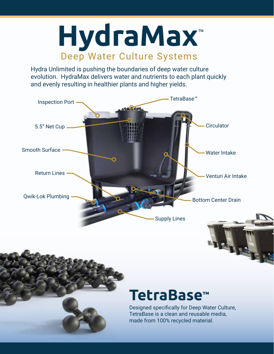

Hydra Unlimited is pushing the boundaries of deep water culture evolution. HydraMax delivers water and nutrients to each plant quickly and evenly resulting in healthier plants and higher yields.



## **TetraBase™**

Designed specifically for Deep Water Culture, TetraBase is a clean and reusable media, made from 100% recycled material.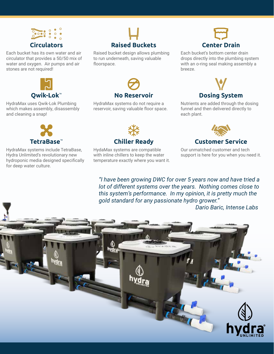

Each bucket has its own water and air circulator that provides a 50/50 mix of water and oxygen. Air pumps and air stones are not required!



HydraMax uses Qwik-Lok Plumbing which makes assembly, disassembly and cleaning a snap!



HydraMax systems include TetraBase, Hydra Unlimited's revolutionary new hydroponic media designed specifically for deep water culture.



Raised bucket design allows plumbing to run underneath, saving valuable floorspace.



HydraMax systems do not require a reservoir, saving valuable floor space.



Each bucket's bottom center drain drops directly into the plumbing system with an o-ring seal making assembly a breeze.



Nutrients are added through the dosing funnel and then delivered directly to each plant.



HydaMax systems are compatible with inline chillers to keep the water temperature exactly where you want it.



Our unmatched customer and tech support is here for you when you need it.

*"I have been growing DWC for over 5 years now and have tried a lot of different systems over the years. Nothing comes close to this system's performance. In my opinion, it is pretty much the gold standard for any passionate hydro grower."*

 *Dario Baric, Intense Labs*